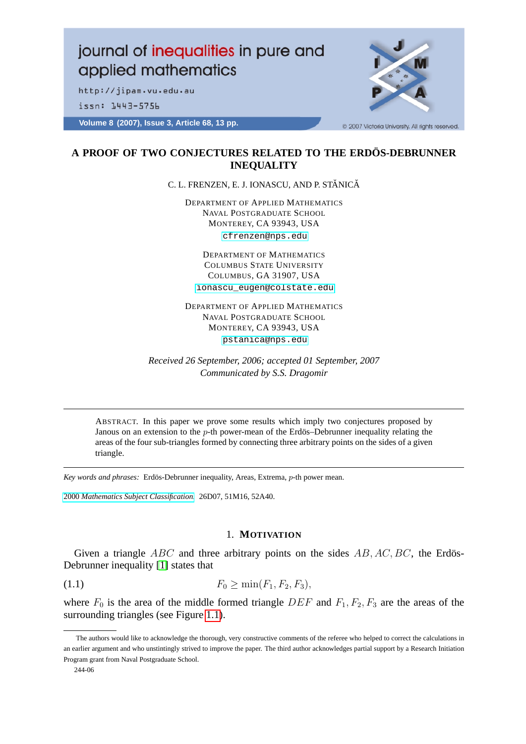

# **A PROOF OF TWO CONJECTURES RELATED TO THE ERDÖS-DEBRUNNER INEQUALITY**

C. L. FRENZEN, E. J. IONASCU, AND P. STĂNICĂ

DEPARTMENT OF APPLIED MATHEMATICS NAVAL POSTGRADUATE SCHOOL MONTEREY, CA 93943, USA [cfrenzen@nps.edu](mailto:cfrenzen@nps.edu)

DEPARTMENT OF MATHEMATICS COLUMBUS STATE UNIVERSITY COLUMBUS, GA 31907, USA [ionascu\\_eugen@colstate.edu](mailto:ionascuprotect T1	extunderscore eugen@colstate.edu)

DEPARTMENT OF APPLIED MATHEMATICS NAVAL POSTGRADUATE SCHOOL MONTEREY, CA 93943, USA [pstanica@nps.edu](mailto:pstanica@nps.edu)

*Received 26 September, 2006; accepted 01 September, 2007 Communicated by S.S. Dragomir*

ABSTRACT. In this paper we prove some results which imply two conjectures proposed by Janous on an extension to the  $p$ -th power-mean of the Erdös–Debrunner inequality relating the areas of the four sub-triangles formed by connecting three arbitrary points on the sides of a given triangle.

*Key words and phrases:* Erdös-Debrunner inequality, Areas, Extrema, p-th power mean.

2000 *[Mathematics Subject Classification.](http://www.ams.org/msc/)* 26D07, 51M16, 52A40.

#### <span id="page-0-0"></span>1. **MOTIVATION**

Given a triangle  $ABC$  and three arbitrary points on the sides  $AB, AC, BC$ , the Erdös-Debrunner inequality [\[1\]](#page-12-0) states that

(1.1)  $F_0 \ge \min(F_1, F_2, F_3),$ 

where  $F_0$  is the area of the middle formed triangle  $DEF$  and  $F_1, F_2, F_3$  are the areas of the surrounding triangles (see Figure [1.1\)](#page-1-0).

The authors would like to acknowledge the thorough, very constructive comments of the referee who helped to correct the calculations in an earlier argument and who unstintingly strived to improve the paper. The third author acknowledges partial support by a Research Initiation Program grant from Naval Postgraduate School.

<sup>244-06</sup>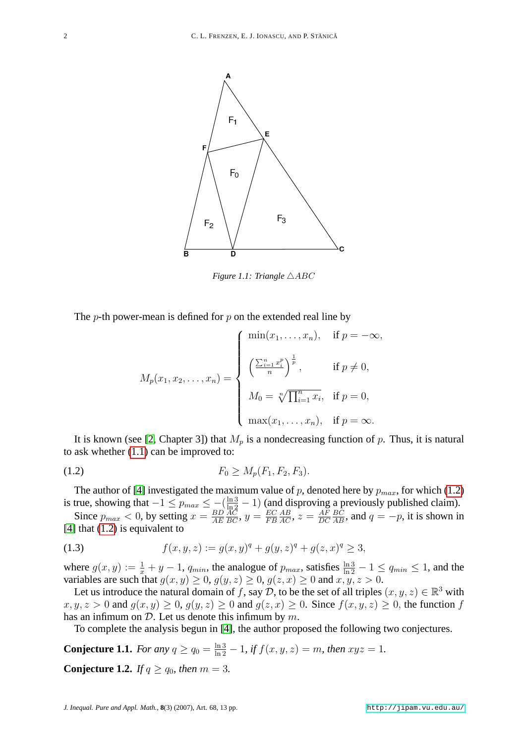

<span id="page-1-0"></span>*Figure 1.1: Triangle*  $\triangle ABC$ 

The *p*-th power-mean is defined for *p* on the extended real line by

<span id="page-1-1"></span>
$$
M_p(x_1, x_2, \dots, x_n) = \begin{cases} \min(x_1, \dots, x_n), & \text{if } p = -\infty, \\ \left(\frac{\sum_{i=1}^n x_i^p}{n}\right)^{\frac{1}{p}}, & \text{if } p \neq 0, \\ M_0 = \sqrt[n]{\prod_{i=1}^n x_i}, & \text{if } p = 0, \\ \max(x_1, \dots, x_n), & \text{if } p = \infty. \end{cases}
$$

It is known (see [\[2,](#page-12-1) Chapter 3]) that  $M_p$  is a nondecreasing function of p. Thus, it is natural to ask whether [\(1.1\)](#page-0-0) can be improved to:

$$
(1.2) \t\t\t F_0 \ge M_p(F_1, F_2, F_3).
$$

The author of [\[4\]](#page-12-2) investigated the maximum value of p, denoted here by  $p_{max}$ , for which [\(1.2\)](#page-1-1) is true, showing that  $-1 \le p_{max} \le -\left(\frac{\ln 3}{\ln 2} - 1\right)$  (and disproving a previously published claim).

<span id="page-1-4"></span>Since  $p_{max} < 0$ , by setting  $x = \frac{BD}{AE}$ AE  $\frac{AC}{BC}$ ,  $y = \frac{EC}{FB}$ F B  $\frac{AB}{AC}$ ,  $z=\frac{AF}{DC}$ DC  $\frac{BC}{AB}$ , and  $q = -p$ , it is shown in [\[4\]](#page-12-2) that [\(1.2\)](#page-1-1) is equivalent to

(1.3) 
$$
f(x, y, z) := g(x, y)^{q} + g(y, z)^{q} + g(z, x)^{q} \ge 3,
$$

where  $g(x, y) := \frac{1}{x} + y - 1$ ,  $q_{min}$ , the analogue of  $p_{max}$ , satisfies  $\frac{\ln 3}{\ln 2} - 1 \le q_{min} \le 1$ , and the variables are such that  $g(x, y) \ge 0$ ,  $g(y, z) \ge 0$ ,  $g(z, x) \ge 0$  and  $x, y, z > 0$ .

Let us introduce the natural domain of f, say  $\mathcal{D}$ , to be the set of all triples  $(x, y, z) \in \mathbb{R}^3$  with  $x, y, z > 0$  and  $g(x, y) \ge 0$ ,  $g(y, z) \ge 0$  and  $g(z, x) \ge 0$ . Since  $f(x, y, z) \ge 0$ , the function f has an infimum on  $D$ . Let us denote this infimum by m.

To complete the analysis begun in [\[4\]](#page-12-2), the author proposed the following two conjectures.

<span id="page-1-2"></span>**Conjecture 1.1.** For any 
$$
q \ge q_0 = \frac{\ln 3}{\ln 2} - 1
$$
, if  $f(x, y, z) = m$ , then  $xyz = 1$ .

<span id="page-1-3"></span>**Conjecture 1.2.** *If*  $q \geq q_0$ *, then*  $m = 3$ *.*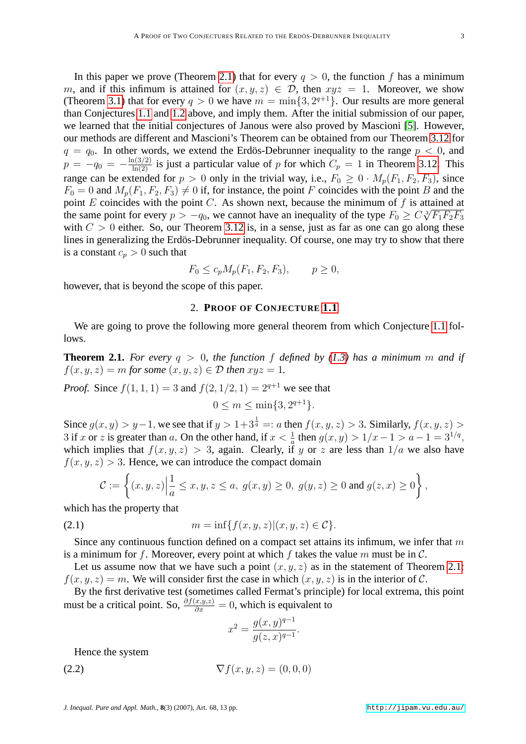In this paper we prove (Theorem [2.1\)](#page-2-0) that for every  $q > 0$ , the function f has a minimum m, and if this infimum is attained for  $(x, y, z) \in \mathcal{D}$ , then  $xyz = 1$ . Moreover, we show (Theorem [3.1\)](#page-4-0) that for every  $q > 0$  we have  $m = \min\{3, 2^{q+1}\}\.$  Our results are more general than Conjectures [1.1](#page-1-2) and [1.2](#page-1-3) above, and imply them. After the initial submission of our paper, we learned that the initial conjectures of Janous were also proved by Mascioni [\[5\]](#page-12-3). However, our methods are different and Mascioni's Theorem can be obtained from our Theorem [3.12](#page-12-4) for  $q = q_0$ . In other words, we extend the Erdös-Debrunner inequality to the range  $p < 0$ , and  $p = -q_0 = -\frac{\ln(3/2)}{\ln(2)}$  is just a particular value of p for which  $C_p = 1$  in Theorem [3.12.](#page-12-4) This range can be extended for  $p > 0$  only in the trivial way, i.e.,  $F_0 \geq 0 \cdot M_p(F_1, F_2, F_3)$ , since  $F_0 = 0$  and  $M_p(F_1, F_2, F_3) \neq 0$  if, for instance, the point F coincides with the point B and the point  $E$  coincides with the point  $C$ . As shown next, because the minimum of  $f$  is attained at point *E* coincides with the point C. As shown hext, because the minimum of *f* is attained at the same point for every  $p > -q_0$ , we cannot have an inequality of the type  $F_0 \ge C \sqrt[3]{F_1 F_2 F_3}$ with  $C > 0$  either. So, our Theorem [3.12](#page-12-4) is, in a sense, just as far as one can go along these lines in generalizing the Erdös-Debrunner inequality. Of course, one may try to show that there is a constant  $c_p > 0$  such that

$$
F_0 \le c_p M_p(F_1, F_2, F_3), \qquad p \ge 0,
$$

<span id="page-2-1"></span>however, that is beyond the scope of this paper.

### 2. **PROOF OF CONJECTURE [1.1](#page-1-2)**

We are going to prove the following more general theorem from which Conjecture [1.1](#page-1-2) follows.

<span id="page-2-0"></span>**Theorem 2.1.** For every  $q > 0$ , the function f defined by [\(1.3\)](#page-1-4) has a minimum m and if  $f(x, y, z) = m$  *for some*  $(x, y, z) \in D$  *then*  $xyz = 1$ *.* 

*Proof.* Since  $f(1, 1, 1) = 3$  and  $f(2, 1/2, 1) = 2^{q+1}$  we see that

$$
0 \le m \le \min\{3, 2^{q+1}\}.
$$

Since  $g(x, y) > y-1$ , we see that if  $y > 1+3^{\frac{1}{q}} =: a$  then  $f(x, y, z) > 3$ . Similarly,  $f(x, y, z) >$ 3 if x or z is greater than a. On the other hand, if  $x < \frac{1}{a}$  then  $g(x, y) > 1/x - 1 > a - 1 = 3^{1/q}$ , which implies that  $f(x, y, z) > 3$ , again. Clearly, if y or z are less than  $1/a$  we also have  $f(x, y, z) > 3$ . Hence, we can introduce the compact domain

$$
\mathcal{C} := \left\{ (x, y, z) \Big| \frac{1}{a} \le x, y, z \le a, \ g(x, y) \ge 0, \ g(y, z) \ge 0 \text{ and } g(z, x) \ge 0 \right\},\
$$

which has the property that

(2.1) 
$$
m = \inf \{ f(x, y, z) | (x, y, z) \in \mathcal{C} \}.
$$

Since any continuous function defined on a compact set attains its infimum, we infer that  $m$ is a minimum for f. Moreover, every point at which f takes the value m must be in  $\mathcal{C}$ .

Let us assume now that we have such a point  $(x, y, z)$  as in the statement of Theorem [2.1:](#page-2-0)  $f(x, y, z) = m$ . We will consider first the case in which  $(x, y, z)$  is in the interior of C.

By the first derivative test (sometimes called Fermat's principle) for local extrema, this point must be a critical point. So,  $\frac{\partial f(x,y,z)}{\partial x} = 0$ , which is equivalent to

$$
x^{2} = \frac{g(x, y)^{q-1}}{g(z, x)^{q-1}}.
$$

Hence the system

(2.2) 
$$
\nabla f(x, y, z) = (0, 0, 0)
$$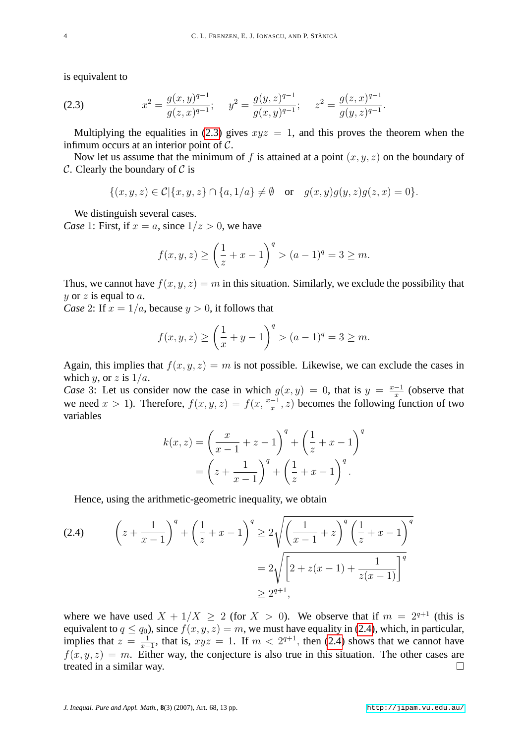<span id="page-3-0"></span>is equivalent to

(2.3) 
$$
x^{2} = \frac{g(x,y)^{q-1}}{g(z,x)^{q-1}}; \quad y^{2} = \frac{g(y,z)^{q-1}}{g(x,y)^{q-1}}; \quad z^{2} = \frac{g(z,x)^{q-1}}{g(y,z)^{q-1}}.
$$

Multiplying the equalities in [\(2.3\)](#page-3-0) gives  $xyz = 1$ , and this proves the theorem when the infimum occurs at an interior point of C.

Now let us assume that the minimum of f is attained at a point  $(x, y, z)$  on the boundary of  $\mathcal C$ . Clearly the boundary of  $\mathcal C$  is

$$
\{(x,y,z)\in\mathcal{C}|\{x,y,z\}\cap\{a,1/a\}\neq\emptyset\quad\text{or}\quad g(x,y)g(y,z)g(z,x)=0\}.
$$

We distinguish several cases.

*Case* 1: First, if  $x = a$ , since  $1/z > 0$ , we have

$$
f(x, y, z) \ge \left(\frac{1}{z} + x - 1\right)^{q} > (a - 1)^{q} = 3 \ge m.
$$

Thus, we cannot have  $f(x, y, z) = m$  in this situation. Similarly, we exclude the possibility that y or z is equal to a.

*Case* 2: If  $x = 1/a$ , because  $y > 0$ , it follows that

$$
f(x, y, z) \ge \left(\frac{1}{x} + y - 1\right)^{q} > (a - 1)^{q} = 3 \ge m.
$$

Again, this implies that  $f(x, y, z) = m$  is not possible. Likewise, we can exclude the cases in which y, or z is  $1/a$ .

*Case* 3: Let us consider now the case in which  $g(x, y) = 0$ , that is  $y = \frac{x-1}{x}$  $\frac{-1}{x}$  (observe that we need  $x > 1$ ). Therefore,  $f(x, y, z) = f(x, \frac{x-1}{x}, z)$  becomes the following function of two variables

$$
k(x, z) = \left(\frac{x}{x - 1} + z - 1\right)^{q} + \left(\frac{1}{z} + x - 1\right)^{q}
$$

$$
= \left(z + \frac{1}{x - 1}\right)^{q} + \left(\frac{1}{z} + x - 1\right)^{q}.
$$

Hence, using the arithmetic-geometric inequality, we obtain

<span id="page-3-1"></span>
$$
(2.4) \qquad \left(z + \frac{1}{x - 1}\right)^q + \left(\frac{1}{z} + x - 1\right)^q \ge 2\sqrt{\left(\frac{1}{x - 1} + z\right)^q \left(\frac{1}{z} + x - 1\right)^q}
$$
\n
$$
= 2\sqrt{\left[2 + z(x - 1) + \frac{1}{z(x - 1)}\right]^q}
$$
\n
$$
\ge 2^{q+1},
$$

where we have used  $X + 1/X \ge 2$  (for  $X > 0$ ). We observe that if  $m = 2^{q+1}$  (this is equivalent to  $q \leq q_0$ ), since  $f(x, y, z) = m$ , we must have equality in [\(2.4\)](#page-3-1), which, in particular, implies that  $z = \frac{1}{x-1}$  $\frac{1}{x-1}$ , that is,  $xyz = 1$ . If  $m < 2^{q+1}$ , then [\(2.4\)](#page-3-1) shows that we cannot have  $f(x, y, z) = m$ . Either way, the conjecture is also true in this situation. The other cases are treated in a similar way.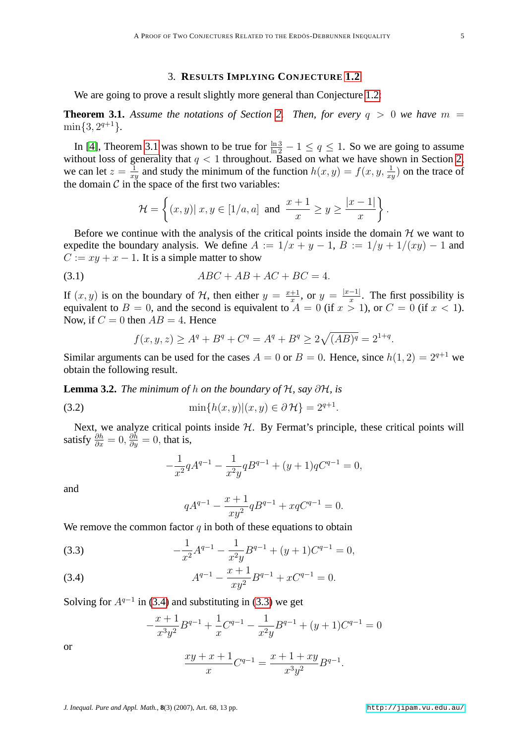### 3. **RESULTS IMPLYING CONJECTURE [1.2](#page-1-3)**

We are going to prove a result slightly more general than Conjecture [1.2:](#page-1-3)

<span id="page-4-0"></span>**Theorem 3.1.** Assume the notations of Section [2.](#page-2-1) Then, for every  $q > 0$  we have  $m =$  $\min\{3, 2^{q+1}\}.$ 

In [\[4\]](#page-12-2), Theorem [3.1](#page-4-0) was shown to be true for  $\frac{\ln 3}{\ln 2} - 1 \le q \le 1$ . So we are going to assume without loss of generality that  $q < 1$  throughout. Based on what we have shown in Section [2,](#page-2-1) we can let  $z = \frac{1}{x}$  $\frac{1}{xy}$  and study the minimum of the function  $h(x, y) = f(x, y, \frac{1}{xy})$  on the trace of the domain  $C$  in the space of the first two variables:

<span id="page-4-3"></span>
$$
\mathcal{H} = \left\{ (x, y) | x, y \in [1/a, a] \text{ and } \frac{x+1}{x} \ge y \ge \frac{|x-1|}{x} \right\}.
$$

Before we continue with the analysis of the critical points inside the domain  $H$  we want to expedite the boundary analysis. We define  $A := 1/x + y - 1$ ,  $B := 1/y + 1/(xy) - 1$  and  $C := xy + x - 1$ . It is a simple matter to show

$$
(3.1) \t\t ABC + AB + AC + BC = 4.
$$

If  $(x, y)$  is on the boundary of H, then either  $y = \frac{x+1}{x}$  $\frac{+1}{x}$ , or  $y = \frac{|x-1|}{x}$  $\frac{-1}{x}$ . The first possibility is equivalent to  $B = 0$ , and the second is equivalent to  $A = 0$  (if  $x > 1$ ), or  $C = 0$  (if  $x < 1$ ). Now, if  $C = 0$  then  $AB = 4$ . Hence

$$
f(x, y, z) \ge A^q + B^q + C^q = A^q + B^q \ge 2\sqrt{(AB)^q} = 2^{1+q}.
$$

Similar arguments can be used for the cases  $A = 0$  or  $B = 0$ . Hence, since  $h(1, 2) = 2^{q+1}$  we obtain the following result.

<span id="page-4-4"></span>**Lemma 3.2.** *The minimum of* h *on the boundary of* H*, say* ∂H*, is*

(3.2) 
$$
\min\{h(x,y)|(x,y) \in \partial \mathcal{H}\} = 2^{q+1}.
$$

Next, we analyze critical points inside  $H$ . By Fermat's principle, these critical points will satisfy  $\frac{\partial h}{\partial x} = 0$ ,  $\frac{\partial h}{\partial y} = 0$ , that is,

$$
-\frac{1}{x^2}qA^{q-1} - \frac{1}{x^2y}qB^{q-1} + (y+1)qC^{q-1} = 0,
$$

and

$$
qA^{q-1} - \frac{x+1}{xy^2}qB^{q-1} + xqC^{q-1} = 0.
$$

We remove the common factor  $q$  in both of these equations to obtain

<span id="page-4-2"></span>(3.3) 
$$
-\frac{1}{x^2}A^{q-1} - \frac{1}{x^2y}B^{q-1} + (y+1)C^{q-1} = 0,
$$

<span id="page-4-1"></span>(3.4) 
$$
A^{q-1} - \frac{x+1}{xy^2}B^{q-1} + xC^{q-1} = 0.
$$

Solving for  $A^{q-1}$  in [\(3.4\)](#page-4-1) and substituting in [\(3.3\)](#page-4-2) we get

$$
-\frac{x+1}{x^3y^2}B^{q-1} + \frac{1}{x}C^{q-1} - \frac{1}{x^2y}B^{q-1} + (y+1)C^{q-1} = 0
$$

or

$$
\frac{xy + x + 1}{x}C^{q-1} = \frac{x + 1 + xy}{x^3y^2}B^{q-1}.
$$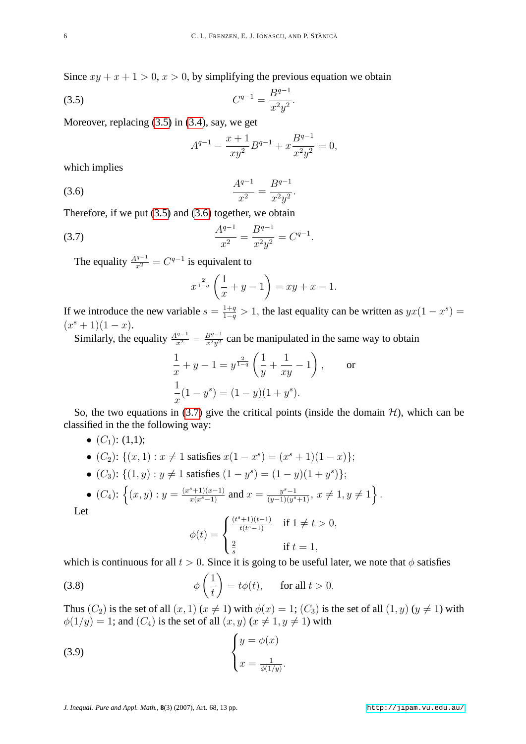Since  $xy + x + 1 > 0$ ,  $x > 0$ , by simplifying the previous equation we obtain

(3.5) 
$$
C^{q-1} = \frac{B^{q-1}}{x^2 y^2}.
$$

Moreover, replacing [\(3.5\)](#page-5-0) in [\(3.4\)](#page-4-1), say, we get

<span id="page-5-0"></span>
$$
A^{q-1} - \frac{x+1}{xy^2}B^{q-1} + x\frac{B^{q-1}}{x^2y^2} = 0,
$$

<span id="page-5-1"></span>which implies

(3.6) 
$$
\frac{A^{q-1}}{x^2} = \frac{B^{q-1}}{x^2 y^2}.
$$

Therefore, if we put [\(3.5\)](#page-5-0) and [\(3.6\)](#page-5-1) together, we obtain

(3.7) 
$$
\frac{A^{q-1}}{x^2} = \frac{B^{q-1}}{x^2 y^2} = C^{q-1}.
$$

The equality  $\frac{A^{q-1}}{x^2} = C^{q-1}$  is equivalent to

<span id="page-5-2"></span>
$$
x^{\frac{2}{1-q}}\left(\frac{1}{x} + y - 1\right) = xy + x - 1.
$$

If we introduce the new variable  $s = \frac{1+q}{1-q}$  $\frac{1+q}{1-q} > 1$ , the last equality can be written as  $yx(1-x^s) =$  $(x^s + 1)(1 - x).$ 

Similarly, the equality  $\frac{A^{q-1}}{x^2} = \frac{B^{q-1}}{x^2y^2}$  $\frac{B^{q-1}}{x^2y^2}$  can be manipulated in the same way to obtain

$$
\frac{1}{x} + y - 1 = y^{\frac{2}{1-q}} \left( \frac{1}{y} + \frac{1}{xy} - 1 \right), \quad \text{or} \quad \frac{1}{x} (1 - y^s) = (1 - y)(1 + y^s).
$$

So, the two equations in [\(3.7\)](#page-5-2) give the critical points (inside the domain  $H$ ), which can be classified in the the following way:

•  $(C_1)$ : (1,1);

• 
$$
(C_2)
$$
:  $\{(x,1): x \neq 1 \text{ satisfies } x(1-x^s) = (x^s+1)(1-x)\};$ 

•  $(C_3)$ :  $\{(1, y) : y \neq 1 \text{ satisfies } (1 - y^s) = (1 - y)(1 + y^s)\};$ 

• 
$$
(C_4): \left\{ (x, y) : y = \frac{(x^s + 1)(x - 1)}{x(x^s - 1)}
$$
 and  $x = \frac{y^s - 1}{(y - 1)(y^s + 1)}, x \neq 1, y \neq 1 \right\}.$   
et 
$$
\int \frac{(t^s + 1)(t - 1)}{t(t^s - 1)} \quad \text{if } 1 \neq t > 0,
$$

 $L$ 

<span id="page-5-4"></span><span id="page-5-3"></span>
$$
\phi(t) = \begin{cases} \frac{(t^{s}+1)(t-1)}{t(t^{s}-1)} & \text{if } 1 \neq t > 0, \\ \frac{2}{s} & \text{if } t = 1, \end{cases}
$$

which is continuous for all  $t > 0$ . Since it is going to be useful later, we note that  $\phi$  satisfies

(3.8) 
$$
\phi\left(\frac{1}{t}\right) = t\phi(t), \quad \text{for all } t > 0.
$$

Thus  $(C_2)$  is the set of all  $(x, 1)$   $(x \neq 1)$  with  $\phi(x) = 1$ ;  $(C_3)$  is the set of all  $(1, y)$   $(y \neq 1)$  with  $\phi(1/y) = 1$ ; and  $(C_4)$  is the set of all  $(x, y)$   $(x \neq 1, y \neq 1)$  with

(3.9) 
$$
\begin{cases} y = \phi(x) \\ x = \frac{1}{\phi(1/y)}. \end{cases}
$$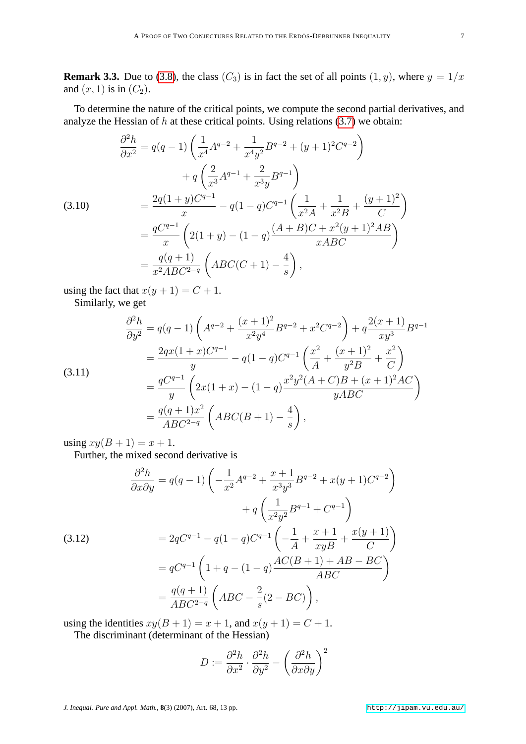**Remark 3.3.** Due to [\(3.8\)](#page-5-3), the class  $(C_3)$  is in fact the set of all points  $(1, y)$ , where  $y = 1/x$ and  $(x, 1)$  is in  $(C_2)$ .

<span id="page-6-0"></span>To determine the nature of the critical points, we compute the second partial derivatives, and analyze the Hessian of  $h$  at these critical points. Using relations  $(3.7)$  we obtain:

$$
\frac{\partial^2 h}{\partial x^2} = q(q-1) \left( \frac{1}{x^4} A^{q-2} + \frac{1}{x^4 y^2} B^{q-2} + (y+1)^2 C^{q-2} \right)
$$
  
+  $q \left( \frac{2}{x^3} A^{q-1} + \frac{2}{x^3 y} B^{q-1} \right)$   
=  $\frac{2q(1+y)C^{q-1}}{x} - q(1-q)C^{q-1} \left( \frac{1}{x^2 A} + \frac{1}{x^2 B} + \frac{(y+1)^2}{C} \right)$   
=  $\frac{qC^{q-1}}{x} \left( 2(1+y) - (1-q) \frac{(A+B)C + x^2(y+1)^2 AB}{xABC} \right)$   
=  $\frac{q(q+1)}{x^2 ABC^{2-q}} \left( ABC(C+1) - \frac{4}{s} \right),$ 

using the fact that  $x(y + 1) = C + 1$ .

<span id="page-6-1"></span>Similarly, we get

$$
\frac{\partial^2 h}{\partial y^2} = q(q-1) \left( A^{q-2} + \frac{(x+1)^2}{x^2 y^4} B^{q-2} + x^2 C^{q-2} \right) + q \frac{2(x+1)}{xy^3} B^{q-1}
$$

$$
= \frac{2qx(1+x)C^{q-1}}{y} - q(1-q)C^{q-1} \left( \frac{x^2}{A} + \frac{(x+1)^2}{y^2 B} + \frac{x^2}{C} \right)
$$

$$
= \frac{qC^{q-1}}{y} \left( 2x(1+x) - (1-q) \frac{x^2 y^2 (A+C)B + (x+1)^2 AC}{yABC} \right)
$$

$$
= \frac{q(q+1)x^2}{ABC^{2-q}} \left( ABC(B+1) - \frac{4}{s} \right),
$$

using  $xy(B + 1) = x + 1$ .

<span id="page-6-2"></span>Further, the mixed second derivative is

$$
\frac{\partial^2 h}{\partial x \partial y} = q(q-1) \left( -\frac{1}{x^2} A^{q-2} + \frac{x+1}{x^3 y^3} B^{q-2} + x(y+1) C^{q-2} \right)
$$
  
+  $q \left( \frac{1}{x^2 y^2} B^{q-1} + C^{q-1} \right)$   
(3.12)  

$$
= 2q C^{q-1} - q(1-q) C^{q-1} \left( -\frac{1}{A} + \frac{x+1}{xyB} + \frac{x(y+1)}{C} \right)
$$
  

$$
= q C^{q-1} \left( 1 + q - (1-q) \frac{AC(B+1) + AB - BC}{ABC} \right)
$$
  

$$
= \frac{q(q+1)}{ABC^{2-q}} \left( ABC - \frac{2}{s} (2 - BC) \right),
$$

using the identities  $xy(B+1) = x + 1$ , and  $x(y+1) = C + 1$ . The discriminant (determinant of the Hessian)

$$
D := \frac{\partial^2 h}{\partial x^2} \cdot \frac{\partial^2 h}{\partial y^2} - \left(\frac{\partial^2 h}{\partial x \partial y}\right)^2
$$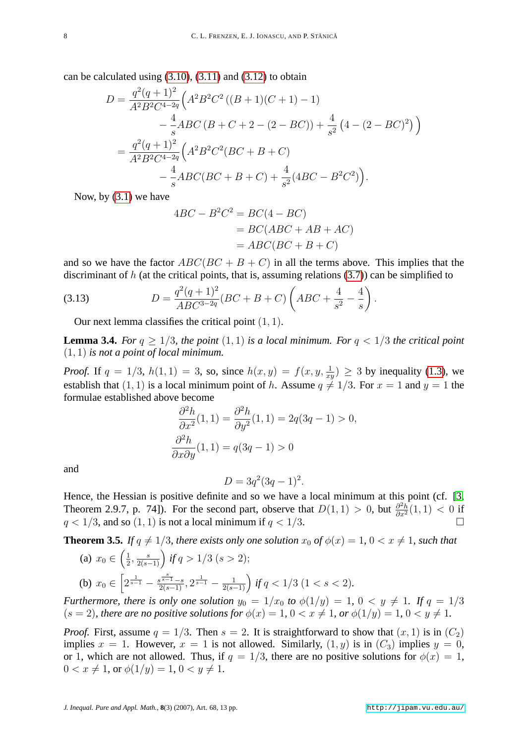can be calculated using [\(3.10\)](#page-6-0), [\(3.11\)](#page-6-1) and [\(3.12\)](#page-6-2) to obtain

$$
D = \frac{q^2(q+1)^2}{A^2B^2C^{4-2q}} \Big( A^2B^2C^2 ((B+1)(C+1) - 1) - \frac{4}{s}ABC (B + C + 2 - (2 - BC)) + \frac{4}{s^2} (4 - (2 - BC)^2) \Big)
$$
  

$$
= \frac{q^2(q+1)^2}{A^2B^2C^{4-2q}} \Big( A^2B^2C^2(BC + B + C) - \frac{4}{s}ABC(BC + B + C) + \frac{4}{s^2} (4BC - B^2C^2) \Big).
$$

Now, by [\(3.1\)](#page-4-3) we have

$$
4BC - B2C2 = BC(4 - BC)
$$
  
= BC(ABC + AB + AC)  
= ABC(BC + B + C)

and so we have the factor  $ABC(BC + B + C)$  in all the terms above. This implies that the discriminant of  $h$  (at the critical points, that is, assuming relations  $(3.7)$ ) can be simplified to

(3.13) 
$$
D = \frac{q^2(q+1)^2}{ABC^{3-2q}}(BC + B + C)\left(ABC + \frac{4}{s^2} - \frac{4}{s}\right).
$$

Our next lemma classifies the critical point  $(1, 1)$ .

<span id="page-7-1"></span>**Lemma 3.4.** *For*  $q \geq 1/3$ *, the point*  $(1, 1)$  *is a local minimum. For*  $q < 1/3$  *the critical point* (1, 1) *is not a point of local minimum.*

*Proof.* If  $q = 1/3$ ,  $h(1, 1) = 3$ , so, since  $h(x, y) = f(x, y, \frac{1}{xy}) \ge 3$  by inequality [\(1.3\)](#page-1-4), we establish that  $(1, 1)$  is a local minimum point of h. Assume  $q \neq 1/3$ . For  $x = 1$  and  $y = 1$  the formulae established above become

$$
\frac{\partial^2 h}{\partial x^2}(1,1) = \frac{\partial^2 h}{\partial y^2}(1,1) = 2q(3q-1) > 0,
$$
  

$$
\frac{\partial^2 h}{\partial x \partial y}(1,1) = q(3q-1) > 0
$$

and

$$
D = 3q^2(3q - 1)^2.
$$

Hence, the Hessian is positive definite and so we have a local minimum at this point (cf. [\[3,](#page-12-5) Theorem 2.9.7, p. 74]). For the second part, observe that  $D(1,1) > 0$ , but  $\frac{\partial^2 h}{\partial x^2}(1,1) < 0$  if  $q < 1/3$ , and so  $(1, 1)$  is not a local minimum if  $q < 1/3$ .

<span id="page-7-0"></span>**Theorem 3.5.** *If*  $q \neq 1/3$ *, there exists only one solution*  $x_0$  *of*  $\phi(x) = 1$ *,*  $0 < x \neq 1$ *, such that* (a)  $x_0 \in \left(\frac{1}{2}\right)$  $\frac{1}{2}, \frac{s}{2(s-1)}$  *if*  $q > 1/3$  (s > 2); (b)  $x_0 \in \left[2^{\frac{1}{s-1}} - \frac{s^{\frac{s}{s-1}} - s}{2(s-1)}, 2^{\frac{1}{s-1}} - \frac{1}{2(s-1)}\right)$  if  $q < 1/3$   $(1 < s < 2)$ .

*Furthermore, there is only one solution*  $y_0 = 1/x_0$  *to*  $\phi(1/y) = 1$ ,  $0 < y \neq 1$ . If  $q = 1/3$  $(s = 2)$ *, there are no positive solutions for*  $\phi(x) = 1$ ,  $0 < x \neq 1$ *, or*  $\phi(1/y) = 1$ ,  $0 < y \neq 1$ *.* 

*Proof.* First, assume  $q = 1/3$ . Then  $s = 2$ . It is straightforward to show that  $(x, 1)$  is in  $(C_2)$ implies  $x = 1$ . However,  $x = 1$  is not allowed. Similarly,  $(1, y)$  is in  $(C_3)$  implies  $y = 0$ , or 1, which are not allowed. Thus, if  $q = 1/3$ , there are no positive solutions for  $\phi(x) = 1$ ,  $0 < x \neq 1$ , or  $\phi(1/y) = 1$ ,  $0 < y \neq 1$ .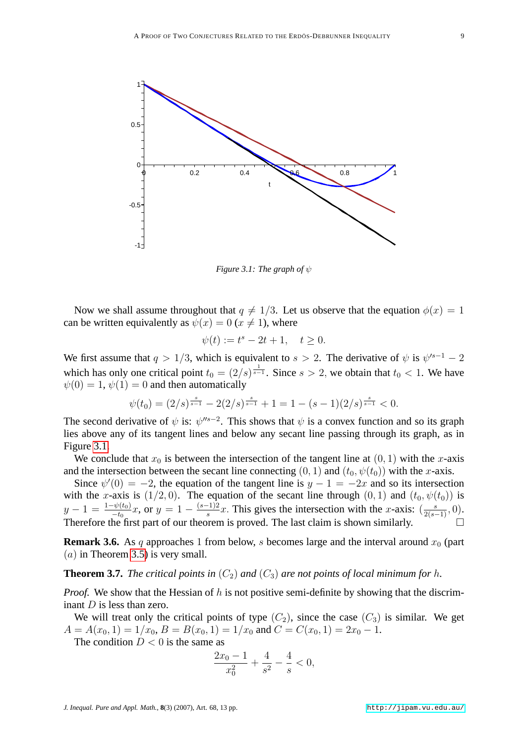

*Figure 3.1: The graph of* ψ

Now we shall assume throughout that  $q \neq 1/3$ . Let us observe that the equation  $\phi(x) = 1$ can be written equivalently as  $\psi(x) = 0$  ( $x \neq 1$ ), where

$$
\psi(t) := t^s - 2t + 1, \quad t \ge 0.
$$

We first assume that  $q > 1/3$ , which is equivalent to  $s > 2$ . The derivative of  $\psi$  is  $\psi^{s-1} - 2$ which has only one critical point  $t_0 = (2/s)^{\frac{1}{s-1}}$ . Since  $s > 2$ , we obtain that  $t_0 < 1$ . We have  $\psi(0) = 1, \psi(1) = 0$  and then automatically

$$
\psi(t_0) = (2/s)^{\frac{s}{s-1}} - 2(2/s)^{\frac{s}{s-1}} + 1 = 1 - (s-1)(2/s)^{\frac{s}{s-1}} < 0.
$$

The second derivative of  $\psi$  is:  $\psi''^{s-2}$ . This shows that  $\psi$  is a convex function and so its graph lies above any of its tangent lines and below any secant line passing through its graph, as in Figure [3.1.](#page-1-0)

We conclude that  $x_0$  is between the intersection of the tangent line at  $(0, 1)$  with the x-axis and the intersection between the secant line connecting  $(0, 1)$  and  $(t_0, \psi(t_0))$  with the x-axis.

Since  $\psi'(0) = -2$ , the equation of the tangent line is  $y - 1 = -2x$  and so its intersection with the x-axis is  $(1/2, 0)$ . The equation of the secant line through  $(0, 1)$  and  $(t_0, \psi(t_0))$  is  $y-1=\frac{1-\psi(t_0)}{-t_0}x$ , or  $y=1-\frac{(s-1)2}{s}$  $\frac{x-1}{s}$  x. This gives the intersection with the x-axis:  $\left(\frac{s}{2(s-1)}, 0\right)$ . Therefore the first part of our theorem is proved. The last claim is shown similarly.

**Remark 3.6.** As q approaches 1 from below, s becomes large and the interval around  $x_0$  (part  $(a)$  in Theorem [3.5\)](#page-7-0) is very small.

## <span id="page-8-0"></span>**Theorem 3.7.** *The critical points in*  $(C_2)$  *and*  $(C_3)$  *are not points of local minimum for h.*

*Proof.* We show that the Hessian of h is not positive semi-definite by showing that the discriminant  $D$  is less than zero.

We will treat only the critical points of type  $(C_2)$ , since the case  $(C_3)$  is similar. We get  $A = A(x_0, 1) = 1/x_0, B = B(x_0, 1) = 1/x_0$  and  $C = C(x_0, 1) = 2x_0 - 1$ .

The condition  $D < 0$  is the same as

$$
\frac{2x_0 - 1}{x_0^2} + \frac{4}{s^2} - \frac{4}{s} < 0,
$$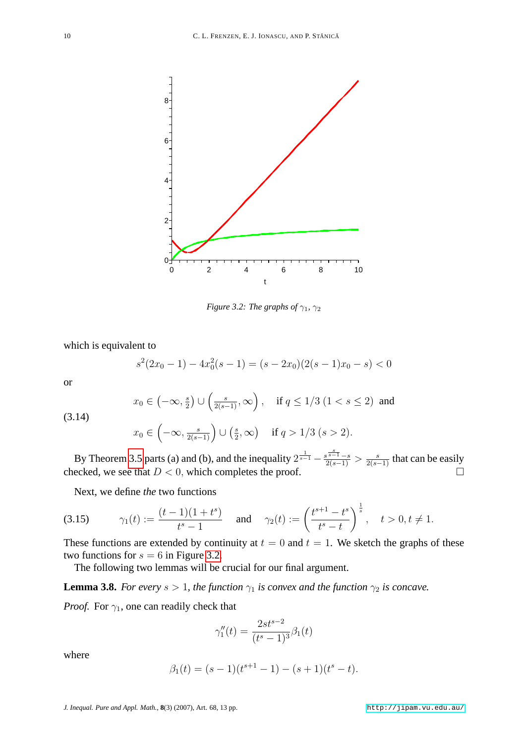

<span id="page-9-0"></span>*Figure 3.2: The graphs of*  $\gamma_1$ ,  $\gamma_2$ 

which is equivalent to

$$
s^{2}(2x_{0}-1)-4x_{0}^{2}(s-1)=(s-2x_{0})(2(s-1)x_{0}-s)<0
$$

or

$$
x_0 \in \left(-\infty, \frac{s}{2}\right) \cup \left(\frac{s}{2(s-1)}, \infty\right), \quad \text{if } q \le 1/3 \ (1 < s \le 2) \ \text{ and}
$$

(3.14)

$$
x_0 \in \left(-\infty, \frac{s}{2(s-1)}\right) \cup \left(\frac{s}{2}, \infty\right) \quad \text{if } q > 1/3 \ (s > 2).
$$

By Theorem [3.5](#page-7-0) parts (a) and (b), and the inequality  $2^{\frac{1}{s-1}} - \frac{s^{\frac{s}{s-1}} - s}{2(s-1)} > \frac{s}{2(s-1)}$  that can be easily checked, we see that  $D < 0$ , which completes the proof.

Next, we define *the* two functions

$$
(3.15) \t\t \gamma_1(t) := \frac{(t-1)(1+t^s)}{t^s-1} \quad \text{and} \quad \gamma_2(t) := \left(\frac{t^{s+1}-t^s}{t^s-t}\right)^{\frac{1}{s}}, \quad t > 0, t \neq 1.
$$

These functions are extended by continuity at  $t = 0$  and  $t = 1$ . We sketch the graphs of these two functions for  $s = 6$  in Figure [3.2.](#page-9-0)

The following two lemmas will be crucial for our final argument.

<span id="page-9-1"></span>**Lemma 3.8.** *For every*  $s > 1$ *, the function*  $\gamma_1$  *is convex and the function*  $\gamma_2$  *is concave.* 

*Proof.* For  $\gamma_1$ , one can readily check that

$$
\gamma_1''(t)=\frac{2st^{s-2}}{(t^s-1)^3}\beta_1(t)
$$

where

$$
\beta_1(t) = (s-1)(t^{s+1} - 1) - (s+1)(t^s - t).
$$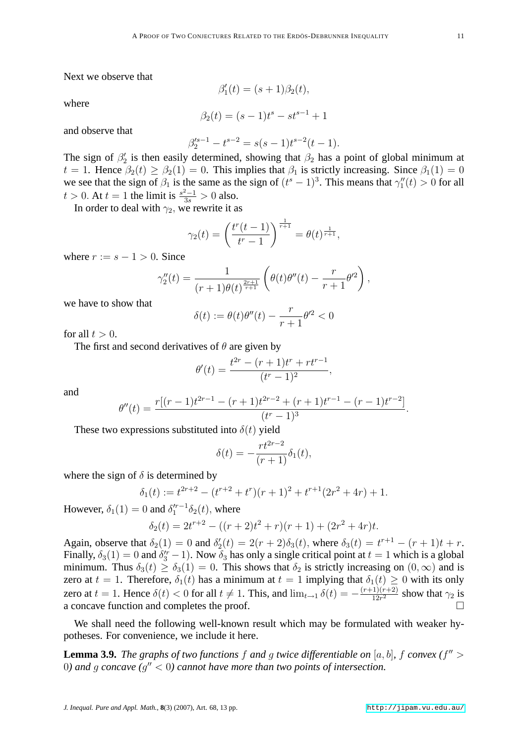Next we observe that

where

$$
\beta'_1(t) = (s+1)\beta_2(t),
$$
  

$$
\beta_2(t) = (s-1)t^s - st^{s-1} + 1
$$

and observe that

$$
\beta_2'^{s-1} - t^{s-2} = s(s-1)t^{s-2}(t-1).
$$

The sign of  $\beta'_2$  is then easily determined, showing that  $\beta_2$  has a point of global minimum at  $t = 1$ . Hence  $\beta_2(t) \geq \beta_2(1) = 0$ . This implies that  $\beta_1$  is strictly increasing. Since  $\beta_1(1) = 0$ we see that the sign of  $\beta_1$  is the same as the sign of  $(t^s - 1)^3$ . This means that  $\gamma_1''(t) > 0$  for all  $t > 0$ . At  $t = 1$  the limit is  $\frac{s^2-1}{3s} > 0$  also.

In order to deal with  $\gamma_2$ , we rewrite it as

$$
\gamma_2(t) = \left(\frac{t^r(t-1)}{t^r - 1}\right)^{\frac{1}{r+1}} = \theta(t)^{\frac{1}{r+1}},
$$

where  $r := s - 1 > 0$ . Since

$$
\gamma_2''(t) = \frac{1}{(r+1)\theta(t)^{\frac{2r+1}{r+1}}} \left( \theta(t)\theta''(t) - \frac{r}{r+1}\theta'^2 \right),
$$

we have to show that

$$
\delta(t) := \theta(t)\theta''(t) - \frac{r}{r+1}\theta'^2 < 0
$$

for all  $t > 0$ .

The first and second derivatives of  $\theta$  are given by

$$
\theta'(t) = \frac{t^{2r} - (r+1)t^r + rt^{r-1}}{(t^r - 1)^2},
$$

and

$$
\theta''(t) = \frac{r[(r-1)t^{2r-1} - (r+1)t^{2r-2} + (r+1)t^{r-1} - (r-1)t^{r-2}]}{(t^r-1)^3}.
$$

These two expressions substituted into  $\delta(t)$  yield

$$
\delta(t) = -\frac{rt^{2r-2}}{(r+1)}\delta_1(t),
$$

where the sign of  $\delta$  is determined by

$$
\delta_1(t) := t^{2r+2} - (t^{r+2} + t^r)(r+1)^2 + t^{r+1}(2r^2+4r) + 1.
$$

However,  $\delta_1(1) = 0$  and  $\delta_1^{r-1} \delta_2(t)$ , where  $\delta_2(t) = 2t^{r+2} - ((r+2)t^2 + r)(r+1) + (2r^2 + 4r)t.$ 

Again, observe that  $\delta_2(1) = 0$  and  $\delta'_2(t) = 2(r + 2)\delta_3(t)$ , where  $\delta_3(t) = t^{r+1} - (r + 1)t + r$ . Finally,  $\delta_3(1) = 0$  and  $\delta_3'' - 1$ ). Now  $\delta_3$  has only a single critical point at  $t = 1$  which is a global minimum. Thus  $\delta_3(t) \ge \delta_3(1) = 0$ . This shows that  $\delta_2$  is strictly increasing on  $(0, \infty)$  and is zero at  $t = 1$ . Therefore,  $\delta_1(t)$  has a minimum at  $t = 1$  implying that  $\delta_1(t) \geq 0$  with its only zero at  $t = 1$ . Hence  $\delta(t) < 0$  for all  $t \neq 1$ . This, and  $\lim_{t \to 1} \delta(t) = -\frac{(r+1)(r+2)}{12r^2}$  $\frac{(1)(r+2)}{12r^2}$  show that  $\gamma_2$  is a concave function and completes the proof.

We shall need the following well-known result which may be formulated with weaker hypotheses. For convenience, we include it here.

<span id="page-10-0"></span>**Lemma 3.9.** *The graphs of two functions* f and g *twice differentiable on* [a, b], f convex (f'' >  $(0)$  and g concave  $(g'' < 0)$  cannot have more than two points of intersection.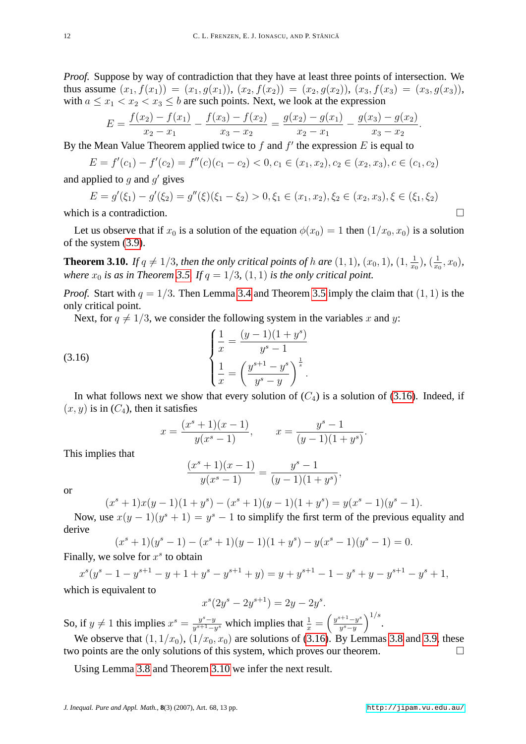*Proof.* Suppose by way of contradiction that they have at least three points of intersection. We thus assume  $(x_1, f(x_1)) = (x_1, g(x_1)), (x_2, f(x_2)) = (x_2, g(x_2)), (x_3, f(x_3)) = (x_3, g(x_3)),$ with  $a \leq x_1 < x_2 < x_3 \leq b$  are such points. Next, we look at the expression

$$
E = \frac{f(x_2) - f(x_1)}{x_2 - x_1} - \frac{f(x_3) - f(x_2)}{x_3 - x_2} = \frac{g(x_2) - g(x_1)}{x_2 - x_1} - \frac{g(x_3) - g(x_2)}{x_3 - x_2}.
$$

By the Mean Value Theorem applied twice to  $f$  and  $f'$  the expression  $E$  is equal to

$$
E = f'(c_1) - f'(c_2) = f''(c)(c_1 - c_2) < 0, c_1 \in (x_1, x_2), c_2 \in (x_2, x_3), c \in (c_1, c_2)
$$

and applied to  $g$  and  $g'$  gives

$$
E = g'(\xi_1) - g'(\xi_2) = g''(\xi)(\xi_1 - \xi_2) > 0, \xi_1 \in (x_1, x_2), \xi_2 \in (x_2, x_3), \xi \in (\xi_1, \xi_2)
$$
  
which is a contradiction.

Let us observe that if  $x_0$  is a solution of the equation  $\phi(x_0) = 1$  then  $(1/x_0, x_0)$  is a solution of the system [\(3.9\)](#page-5-4).

<span id="page-11-1"></span>**Theorem 3.10.** If  $q \neq 1/3$ , then the only critical points of h are  $(1, 1)$ ,  $(x_0, 1)$ ,  $(1, \frac{1}{x_0})$  $\frac{1}{x_0}$ ),  $\left(\frac{1}{x_0}\right)$  $\frac{1}{x_0}, x_0$ ), *where*  $x_0$  *is as in Theorem [3.5.](#page-7-0) If*  $q = 1/3$ ,  $(1, 1)$  *is the only critical point.* 

*Proof.* Start with  $q = 1/3$ . Then Lemma [3.4](#page-7-1) and Theorem [3.5](#page-7-0) imply the claim that  $(1, 1)$  is the only critical point.

Next, for  $q \neq 1/3$ , we consider the following system in the variables x and y:

(3.16) 
$$
\begin{cases} \frac{1}{x} = \frac{(y-1)(1+y^s)}{y^s-1} \\ \frac{1}{x} = \left(\frac{y^{s+1}-y^s}{y^s-y}\right)^{\frac{1}{s}}. \end{cases}
$$

In what follows next we show that every solution of  $(C_4)$  is a solution of [\(3.16\)](#page-11-0). Indeed, if  $(x, y)$  is in  $(C_4)$ , then it satisfies

$$
x = \frac{(x^s + 1)(x - 1)}{y(x^s - 1)}, \qquad x = \frac{y^s - 1}{(y - 1)(1 + y^s)}.
$$

This implies that

<span id="page-11-0"></span>
$$
\frac{(x^s+1)(x-1)}{y(x^s-1)} = \frac{y^s-1}{(y-1)(1+y^s)},
$$

or

$$
(xs + 1)x(y – 1)(1 + ys) – (xs + 1)(y – 1)(1 + ys) = y(xs – 1)(ys – 1).
$$

Now, use  $x(y-1)(y^{s}+1) = y^{s} - 1$  to simplify the first term of the previous equality and derive

$$
(xs + 1)(ys - 1) - (xs + 1)(y - 1)(1 + ys) - y(xs - 1)(ys - 1) = 0.
$$
  
solve for  $xs$  to obtain

Finally, we solve for  $x^s$  to obtain

 $x^{s}(y^{s}-1-y^{s+1}-y+1+y^{s}-y^{s+1}+y)=y+y^{s+1}-1-y^{s}+y-y^{s+1}-y^{s}+1,$ which is equivalent to

$$
x^s(2y^s - 2y^{s+1}) = 2y - 2y^s.
$$

So, if  $y \neq 1$  this implies  $x^s = \frac{y^s - y}{y^{s+1} - y^s}$  $\frac{y^{s}-y}{y^{s+1}-y^{s}}$  which implies that  $\frac{1}{x} = \left(\frac{y^{s+1}-y^{s}}{y^{s}-y}\right)$  $\frac{1-y^s}{y^s-y}\biggr)^{1/s}.$ 

We observe that  $(1, 1/x_0)$ ,  $(1/x_0, x_0)$  are solutions of [\(3.16\)](#page-11-0). By Lemmas [3.8](#page-9-1) and [3.9,](#page-10-0) these two points are the only solutions of this system, which proves our theorem.

<span id="page-11-2"></span>Using Lemma [3.8](#page-9-1) and Theorem [3.10](#page-11-1) we infer the next result.